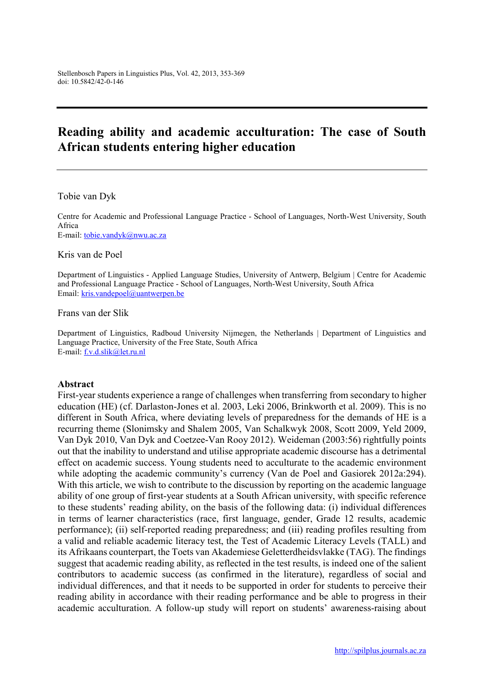# Reading ability and academic acculturation: The case of South African students entering higher education

#### Tobie van Dyk

Centre for Academic and Professional Language Practice - School of Languages, North-West University, South Africa E-mail: tobie.vandyk@nwu.ac.za

#### Kris van de Poel

Department of Linguistics - Applied Language Studies, University of Antwerp, Belgium | Centre for Academic and Professional Language Practice - School of Languages, North-West University, South Africa Email: kris.vandepoel@uantwerpen.be

Frans van der Slik

Department of Linguistics, Radboud University Nijmegen, the Netherlands | Department of Linguistics and Language Practice, University of the Free State, South Africa E-mail: f.v.d.slik@let.ru.nl

#### Abstract

First-year students experience a range of challenges when transferring from secondary to higher education (HE) (cf. Darlaston-Jones et al. 2003, Leki 2006, Brinkworth et al. 2009). This is no different in South Africa, where deviating levels of preparedness for the demands of HE is a recurring theme (Slonimsky and Shalem 2005, Van Schalkwyk 2008, Scott 2009, Yeld 2009, Van Dyk 2010, Van Dyk and Coetzee-Van Rooy 2012). Weideman (2003:56) rightfully points out that the inability to understand and utilise appropriate academic discourse has a detrimental effect on academic success. Young students need to acculturate to the academic environment while adopting the academic community's currency (Van de Poel and Gasiorek 2012a:294). With this article, we wish to contribute to the discussion by reporting on the academic language ability of one group of first-year students at a South African university, with specific reference to these students' reading ability, on the basis of the following data: (i) individual differences in terms of learner characteristics (race, first language, gender, Grade 12 results, academic performance); (ii) self-reported reading preparedness; and (iii) reading profiles resulting from a valid and reliable academic literacy test, the Test of Academic Literacy Levels (TALL) and its Afrikaans counterpart, the Toets van Akademiese Geletterdheidsvlakke (TAG). The findings suggest that academic reading ability, as reflected in the test results, is indeed one of the salient contributors to academic success (as confirmed in the literature), regardless of social and individual differences, and that it needs to be supported in order for students to perceive their reading ability in accordance with their reading performance and be able to progress in their academic acculturation. A follow-up study will report on students' awareness-raising about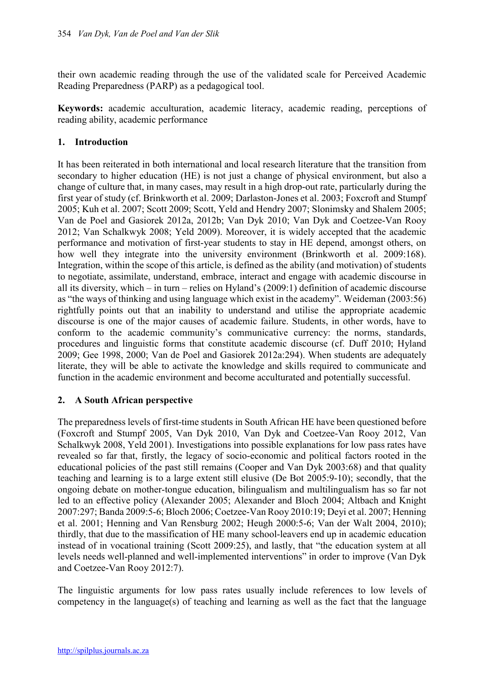their own academic reading through the use of the validated scale for Perceived Academic Reading Preparedness (PARP) as a pedagogical tool.

Keywords: academic acculturation, academic literacy, academic reading, perceptions of reading ability, academic performance

# 1. Introduction

It has been reiterated in both international and local research literature that the transition from secondary to higher education (HE) is not just a change of physical environment, but also a change of culture that, in many cases, may result in a high drop-out rate, particularly during the first year of study (cf. Brinkworth et al. 2009; Darlaston-Jones et al. 2003; Foxcroft and Stumpf 2005; Kuh et al. 2007; Scott 2009; Scott, Yeld and Hendry 2007; Slonimsky and Shalem 2005; Van de Poel and Gasiorek 2012a, 2012b; Van Dyk 2010; Van Dyk and Coetzee-Van Rooy 2012; Van Schalkwyk 2008; Yeld 2009). Moreover, it is widely accepted that the academic performance and motivation of first-year students to stay in HE depend, amongst others, on how well they integrate into the university environment (Brinkworth et al. 2009:168). Integration, within the scope of this article, is defined as the ability (and motivation) of students to negotiate, assimilate, understand, embrace, interact and engage with academic discourse in all its diversity, which – in turn – relies on Hyland's (2009:1) definition of academic discourse as "the ways of thinking and using language which exist in the academy". Weideman (2003:56) rightfully points out that an inability to understand and utilise the appropriate academic discourse is one of the major causes of academic failure. Students, in other words, have to conform to the academic community's communicative currency: the norms, standards, procedures and linguistic forms that constitute academic discourse (cf. Duff 2010; Hyland 2009; Gee 1998, 2000; Van de Poel and Gasiorek 2012a:294). When students are adequately literate, they will be able to activate the knowledge and skills required to communicate and function in the academic environment and become acculturated and potentially successful.

## 2. A South African perspective

The preparedness levels of first-time students in South African HE have been questioned before (Foxcroft and Stumpf 2005, Van Dyk 2010, Van Dyk and Coetzee-Van Rooy 2012, Van Schalkwyk 2008, Yeld 2001). Investigations into possible explanations for low pass rates have revealed so far that, firstly, the legacy of socio-economic and political factors rooted in the educational policies of the past still remains (Cooper and Van Dyk 2003:68) and that quality teaching and learning is to a large extent still elusive (De Bot 2005:9-10); secondly, that the ongoing debate on mother-tongue education, bilingualism and multilingualism has so far not led to an effective policy (Alexander 2005; Alexander and Bloch 2004; Altbach and Knight 2007:297; Banda 2009:5-6; Bloch 2006; Coetzee-Van Rooy 2010:19; Deyi et al. 2007; Henning et al. 2001; Henning and Van Rensburg 2002; Heugh 2000:5-6; Van der Walt 2004, 2010); thirdly, that due to the massification of HE many school-leavers end up in academic education instead of in vocational training (Scott 2009:25), and lastly, that "the education system at all levels needs well-planned and well-implemented interventions" in order to improve (Van Dyk and Coetzee-Van Rooy 2012:7).

The linguistic arguments for low pass rates usually include references to low levels of competency in the language(s) of teaching and learning as well as the fact that the language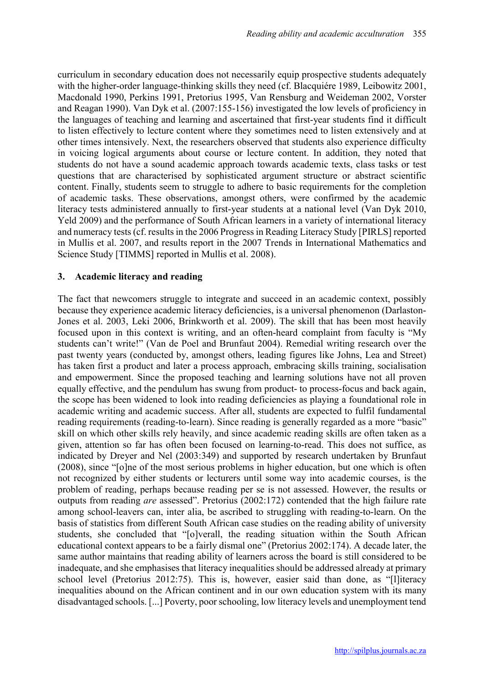curriculum in secondary education does not necessarily equip prospective students adequately with the higher-order language-thinking skills they need (cf. Blacquiére 1989, Leibowitz 2001, Macdonald 1990, Perkins 1991, Pretorius 1995, Van Rensburg and Weideman 2002, Vorster and Reagan 1990). Van Dyk et al. (2007:155-156) investigated the low levels of proficiency in the languages of teaching and learning and ascertained that first-year students find it difficult to listen effectively to lecture content where they sometimes need to listen extensively and at other times intensively. Next, the researchers observed that students also experience difficulty in voicing logical arguments about course or lecture content. In addition, they noted that students do not have a sound academic approach towards academic texts, class tasks or test questions that are characterised by sophisticated argument structure or abstract scientific content. Finally, students seem to struggle to adhere to basic requirements for the completion of academic tasks. These observations, amongst others, were confirmed by the academic literacy tests administered annually to first-year students at a national level (Van Dyk 2010, Yeld 2009) and the performance of South African learners in a variety of international literacy and numeracy tests (cf. results in the 2006 Progress in Reading Literacy Study [PIRLS] reported in Mullis et al. 2007, and results report in the 2007 Trends in International Mathematics and Science Study [TIMMS] reported in Mullis et al. 2008).

## 3. Academic literacy and reading

The fact that newcomers struggle to integrate and succeed in an academic context, possibly because they experience academic literacy deficiencies, is a universal phenomenon (Darlaston-Jones et al. 2003, Leki 2006, Brinkworth et al. 2009). The skill that has been most heavily focused upon in this context is writing, and an often-heard complaint from faculty is "My students can't write!" (Van de Poel and Brunfaut 2004). Remedial writing research over the past twenty years (conducted by, amongst others, leading figures like Johns, Lea and Street) has taken first a product and later a process approach, embracing skills training, socialisation and empowerment. Since the proposed teaching and learning solutions have not all proven equally effective, and the pendulum has swung from product- to process-focus and back again, the scope has been widened to look into reading deficiencies as playing a foundational role in academic writing and academic success. After all, students are expected to fulfil fundamental reading requirements (reading-to-learn). Since reading is generally regarded as a more "basic" skill on which other skills rely heavily, and since academic reading skills are often taken as a given, attention so far has often been focused on learning-to-read. This does not suffice, as indicated by Dreyer and Nel (2003:349) and supported by research undertaken by Brunfaut (2008), since "[o]ne of the most serious problems in higher education, but one which is often not recognized by either students or lecturers until some way into academic courses, is the problem of reading, perhaps because reading per se is not assessed. However, the results or outputs from reading *are* assessed". Pretorius (2002:172) contended that the high failure rate among school-leavers can, inter alia, be ascribed to struggling with reading-to-learn. On the basis of statistics from different South African case studies on the reading ability of university students, she concluded that "[o]verall, the reading situation within the South African educational context appears to be a fairly dismal one" (Pretorius 2002:174). A decade later, the same author maintains that reading ability of learners across the board is still considered to be inadequate, and she emphasises that literacy inequalities should be addressed already at primary school level (Pretorius 2012:75). This is, however, easier said than done, as "[l]iteracy inequalities abound on the African continent and in our own education system with its many disadvantaged schools. [...] Poverty, poor schooling, low literacy levels and unemployment tend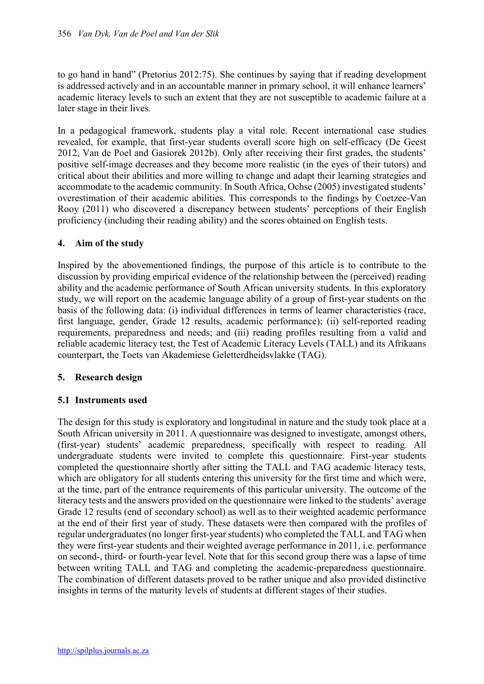to go hand in hand" (Pretorius 2012:75). She continues by saying that if reading development is addressed actively and in an accountable manner in primary school, it will enhance learners' academic literacy levels to such an extent that they are not susceptible to academic failure at a later stage in their lives.

In a pedagogical framework, students play a vital role. Recent international case studies revealed, for example, that first-year students overall score high on self-efficacy (De Geest 2012, Van de Poel and Gasiorek 2012b). Only after receiving their first grades, the students' positive self-image decreases and they become more realistic (in the eyes of their tutors) and critical about their abilities and more willing to change and adapt their learning strategies and accommodate to the academic community. In South Africa, Ochse (2005) investigated students' overestimation of their academic abilities. This corresponds to the findings by Coetzee-Van Rooy (2011) who discovered a discrepancy between students' perceptions of their English proficiency (including their reading ability) and the scores obtained on English tests.

## 4. Aim of the study

Inspired by the abovementioned findings, the purpose of this article is to contribute to the discussion by providing empirical evidence of the relationship between the (perceived) reading ability and the academic performance of South African university students. In this exploratory study, we will report on the academic language ability of a group of first-year students on the basis of the following data: (i) individual differences in terms of learner characteristics (race, first language, gender, Grade 12 results, academic performance); (ii) self-reported reading requirements, preparedness and needs; and (iii) reading profiles resulting from a valid and reliable academic literacy test, the Test of Academic Literacy Levels (TALL) and its Afrikaans counterpart, the Toets van Akademiese Geletterdheidsvlakke (TAG).

## 5. Research design

## 5.1 Instruments used

The design for this study is exploratory and longitudinal in nature and the study took place at a South African university in 2011. A questionnaire was designed to investigate, amongst others, (first-year) students' academic preparedness, specifically with respect to reading. All undergraduate students were invited to complete this questionnaire. First-year students completed the questionnaire shortly after sitting the TALL and TAG academic literacy tests, which are obligatory for all students entering this university for the first time and which were. at the time, part of the entrance requirements of this particular university. The outcome of the literacy tests and the answers provided on the questionnaire were linked to the students' average Grade 12 results (end of secondary school) as well as to their weighted academic performance at the end of their first year of study. These datasets were then compared with the profiles of regular undergraduates (no longer first-year students) who completed the TALL and TAG when they were first-year students and their weighted average performance in 2011, i.e. performance on second-, third- or fourth-year level. Note that for this second group there was a lapse of time between writing TALL and TAG and completing the academic-preparedness questionnaire. The combination of different datasets proved to be rather unique and also provided distinctive insights in terms of the maturity levels of students at different stages of their studies.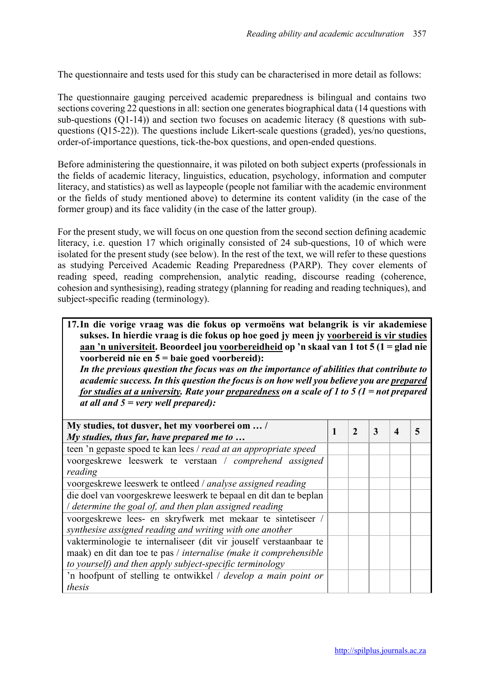The questionnaire and tests used for this study can be characterised in more detail as follows:

The questionnaire gauging perceived academic preparedness is bilingual and contains two sections covering 22 questions in all: section one generates biographical data (14 questions with sub-questions (Q1-14)) and section two focuses on academic literacy (8 questions with subquestions (Q15-22)). The questions include Likert-scale questions (graded), yes/no questions, order-of-importance questions, tick-the-box questions, and open-ended questions.

Before administering the questionnaire, it was piloted on both subject experts (professionals in the fields of academic literacy, linguistics, education, psychology, information and computer literacy, and statistics) as well as laypeople (people not familiar with the academic environment or the fields of study mentioned above) to determine its content validity (in the case of the former group) and its face validity (in the case of the latter group).

For the present study, we will focus on one question from the second section defining academic literacy, i.e. question 17 which originally consisted of 24 sub-questions, 10 of which were isolated for the present study (see below). In the rest of the text, we will refer to these questions as studying Perceived Academic Reading Preparedness (PARP). They cover elements of reading speed, reading comprehension, analytic reading, discourse reading (coherence, cohesion and synthesising), reading strategy (planning for reading and reading techniques), and subject-specific reading (terminology).

17.In die vorige vraag was die fokus op vermoëns wat belangrik is vir akademiese sukses. In hierdie vraag is die fokus op hoe goed jy meen jy voorbereid is vir studies aan 'n universiteit. Beoordeel jou voorbereidheid op 'n skaal van 1 tot 5 (1 = glad nie voorbereid nie en 5 = baie goed voorbereid): *In the previous question the focus was on the importance of abilities that contribute to academic success. In this question the focus is on how well you believe you are prepared for studies at a university. Rate your preparedness on a scale of 1 to 5 (1 = not prepared at all and 5 = very well prepared):*

| My studies, tot dusver, het my voorberei om  /<br>My studies, thus far, have prepared me to                                                                                                        | $\mathbf{2}$ | 3 | $\boldsymbol{\Lambda}$ |  |
|----------------------------------------------------------------------------------------------------------------------------------------------------------------------------------------------------|--------------|---|------------------------|--|
| teen 'n gepaste spoed te kan lees / read at an appropriate speed                                                                                                                                   |              |   |                        |  |
| voorgeskrewe leeswerk te verstaan / comprehend assigned<br>reading                                                                                                                                 |              |   |                        |  |
| voorgeskrewe leeswerk te ontleed / analyse assigned reading                                                                                                                                        |              |   |                        |  |
| die doel van voorgeskrewe leeswerk te bepaal en dit dan te beplan<br>/ determine the goal of, and then plan assigned reading                                                                       |              |   |                        |  |
| voorgeskrewe lees- en skryfwerk met mekaar te sintetiseer /<br>synthesise assigned reading and writing with one another                                                                            |              |   |                        |  |
| vakterminologie te internaliseer (dit vir jouself verstaanbaar te<br>maak) en dit dan toe te pas / internalise (make it comprehensible<br>to yourself) and then apply subject-specific terminology |              |   |                        |  |
| 'n hoofpunt of stelling te ontwikkel / develop a main point or<br>thesis                                                                                                                           |              |   |                        |  |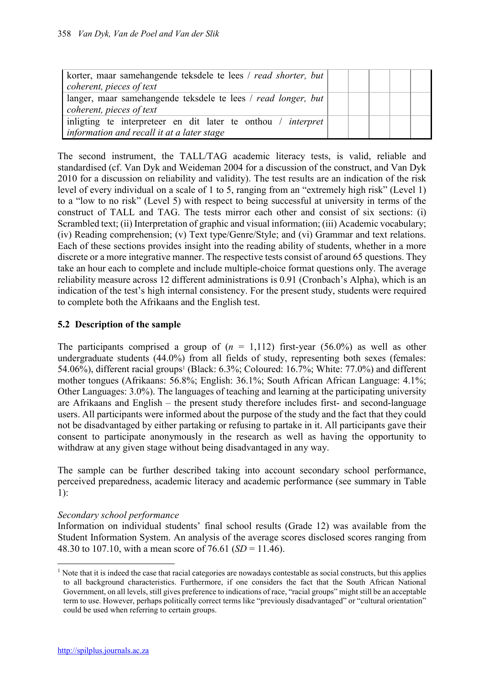| korter, maar samehangende teksdele te lees / read shorter, but  <br>coherent, pieces of text                      |  |  |  |
|-------------------------------------------------------------------------------------------------------------------|--|--|--|
| langer, maar samehangende teksdele te lees / read longer, but<br>coherent, pieces of text                         |  |  |  |
| inligting te interpreteer en dit later te onthou / <i>interpret</i><br>information and recall it at a later stage |  |  |  |

The second instrument, the TALL/TAG academic literacy tests, is valid, reliable and standardised (cf. Van Dyk and Weideman 2004 for a discussion of the construct, and Van Dyk 2010 for a discussion on reliability and validity). The test results are an indication of the risk level of every individual on a scale of 1 to 5, ranging from an "extremely high risk" (Level 1) to a "low to no risk" (Level 5) with respect to being successful at university in terms of the construct of TALL and TAG. The tests mirror each other and consist of six sections: (i) Scrambled text; (ii) Interpretation of graphic and visual information; (iii) Academic vocabulary; (iv) Reading comprehension; (v) Text type/Genre/Style; and (vi) Grammar and text relations. Each of these sections provides insight into the reading ability of students, whether in a more discrete or a more integrative manner. The respective tests consist of around 65 questions. They take an hour each to complete and include multiple-choice format questions only. The average reliability measure across 12 different administrations is 0.91 (Cronbach's Alpha), which is an indication of the test's high internal consistency. For the present study, students were required to complete both the Afrikaans and the English test.

# 5.2 Description of the sample

The participants comprised a group of  $(n = 1,112)$  first-year (56.0%) as well as other undergraduate students (44.0%) from all fields of study, representing both sexes (females: 54.06%), different racial groups<sup>1</sup> (Black:  $6.3\%$ ; Coloured:  $16.7\%$ ; White:  $77.0\%$ ) and different mother tongues (Afrikaans: 56.8%; English: 36.1%; South African African Language: 4.1%; Other Languages: 3.0%). The languages of teaching and learning at the participating university are Afrikaans and English – the present study therefore includes first- and second-language users. All participants were informed about the purpose of the study and the fact that they could not be disadvantaged by either partaking or refusing to partake in it. All participants gave their consent to participate anonymously in the research as well as having the opportunity to withdraw at any given stage without being disadvantaged in any way.

The sample can be further described taking into account secondary school performance, perceived preparedness, academic literacy and academic performance (see summary in Table 1):

## *Secondary school performance*

Information on individual students' final school results (Grade 12) was available from the Student Information System. An analysis of the average scores disclosed scores ranging from 48.30 to 107.10, with a mean score of 76.61 (*SD* = 11.46).

**.** 

<sup>&</sup>lt;sup>1</sup> Note that it is indeed the case that racial categories are nowadays contestable as social constructs, but this applies to all background characteristics. Furthermore, if one considers the fact that the South African National Government, on all levels, still gives preference to indications of race, "racial groups" might still be an acceptable term to use. However, perhaps politically correct terms like "previously disadvantaged" or "cultural orientation" could be used when referring to certain groups.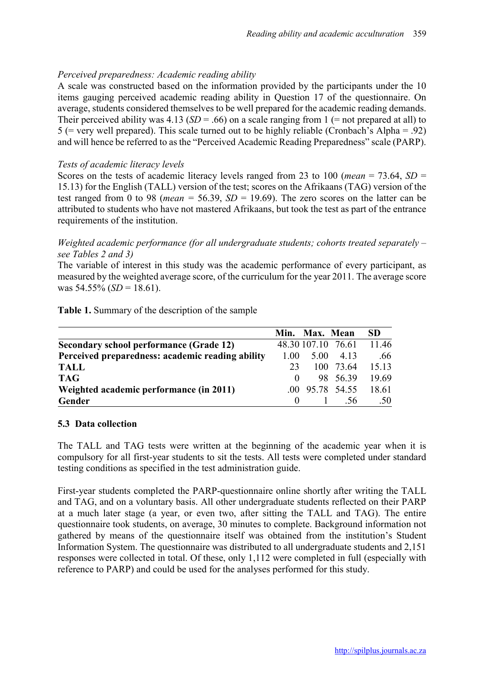# *Perceived preparedness: Academic reading ability*

A scale was constructed based on the information provided by the participants under the 10 items gauging perceived academic reading ability in Question 17 of the questionnaire. On average, students considered themselves to be well prepared for the academic reading demands. Their perceived ability was  $4.13$  (*SD* = .66) on a scale ranging from 1 (= not prepared at all) to  $5$  (= very well prepared). This scale turned out to be highly reliable (Cronbach's Alpha = .92) and will hence be referred to as the "Perceived Academic Reading Preparedness" scale (PARP).

#### *Tests of academic literacy levels*

Scores on the tests of academic literacy levels ranged from 23 to 100 (*mean* = 73.64, *SD* = 15.13) for the English (TALL) version of the test; scores on the Afrikaans (TAG) version of the test ranged from 0 to 98 (*mean* = 56.39,  $SD = 19.69$ ). The zero scores on the latter can be attributed to students who have not mastered Afrikaans, but took the test as part of the entrance requirements of the institution.

## *Weighted academic performance (for all undergraduate students; cohorts treated separately – see Tables 2 and 3)*

The variable of interest in this study was the academic performance of every participant, as measured by the weighted average score, of the curriculum for the year 2011. The average score was  $54.55\%$  (*SD* = 18.61).

|  |  |  |  | Table 1. Summary of the description of the sample |
|--|--|--|--|---------------------------------------------------|
|--|--|--|--|---------------------------------------------------|

|                                                  |      | Min. Max. Mean |                             | <b>SD</b> |
|--------------------------------------------------|------|----------------|-----------------------------|-----------|
| <b>Secondary school performance (Grade 12)</b>   |      |                | 48.30 107.10 76.61          | 11.46     |
| Perceived preparedness: academic reading ability | 1 00 | 5.00           | 4.13                        | .66       |
| <b>TALL</b>                                      | 23   |                | 100 73.64 15.13             |           |
| <b>TAG</b>                                       |      |                | 98 56.39                    | 19.69     |
| Weighted academic performance (in 2011)          |      |                | $.00\quad 95.78\quad 54.55$ | 18.61     |
| Gender                                           |      |                | $1 \quad 56$                | .50       |

#### 5.3 Data collection

The TALL and TAG tests were written at the beginning of the academic year when it is compulsory for all first-year students to sit the tests. All tests were completed under standard testing conditions as specified in the test administration guide.

First-year students completed the PARP-questionnaire online shortly after writing the TALL and TAG, and on a voluntary basis. All other undergraduate students reflected on their PARP at a much later stage (a year, or even two, after sitting the TALL and TAG). The entire questionnaire took students, on average, 30 minutes to complete. Background information not gathered by means of the questionnaire itself was obtained from the institution's Student Information System. The questionnaire was distributed to all undergraduate students and 2,151 responses were collected in total. Of these, only 1,112 were completed in full (especially with reference to PARP) and could be used for the analyses performed for this study.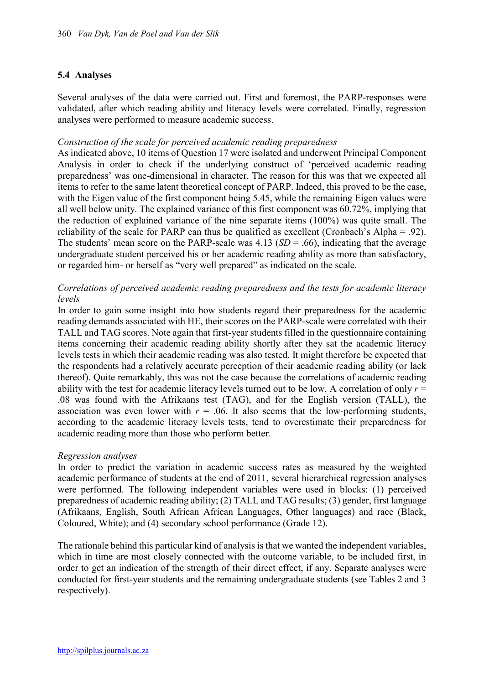## 5.4 Analyses

Several analyses of the data were carried out. First and foremost, the PARP-responses were validated, after which reading ability and literacy levels were correlated. Finally, regression analyses were performed to measure academic success.

#### *Construction of the scale for perceived academic reading preparedness*

As indicated above, 10 items of Question 17 were isolated and underwent Principal Component Analysis in order to check if the underlying construct of 'perceived academic reading preparedness' was one-dimensional in character. The reason for this was that we expected all items to refer to the same latent theoretical concept of PARP. Indeed, this proved to be the case, with the Eigen value of the first component being 5.45, while the remaining Eigen values were all well below unity. The explained variance of this first component was 60.72%, implying that the reduction of explained variance of the nine separate items (100%) was quite small. The reliability of the scale for PARP can thus be qualified as excellent (Cronbach's Alpha = .92). The students' mean score on the PARP-scale was  $4.13$  (*SD* = .66), indicating that the average undergraduate student perceived his or her academic reading ability as more than satisfactory, or regarded him- or herself as "very well prepared" as indicated on the scale.

## *Correlations of perceived academic reading preparedness and the tests for academic literacy levels*

In order to gain some insight into how students regard their preparedness for the academic reading demands associated with HE, their scores on the PARP-scale were correlated with their TALL and TAG scores. Note again that first-year students filled in the questionnaire containing items concerning their academic reading ability shortly after they sat the academic literacy levels tests in which their academic reading was also tested. It might therefore be expected that the respondents had a relatively accurate perception of their academic reading ability (or lack thereof). Quite remarkably, this was not the case because the correlations of academic reading ability with the test for academic literacy levels turned out to be low. A correlation of only  $r =$ .08 was found with the Afrikaans test (TAG), and for the English version (TALL), the association was even lower with  $r = 0.06$ . It also seems that the low-performing students, according to the academic literacy levels tests, tend to overestimate their preparedness for academic reading more than those who perform better.

#### *Regression analyses*

In order to predict the variation in academic success rates as measured by the weighted academic performance of students at the end of 2011, several hierarchical regression analyses were performed. The following independent variables were used in blocks: (1) perceived preparedness of academic reading ability; (2) TALL and TAG results; (3) gender, first language (Afrikaans, English, South African African Languages, Other languages) and race (Black, Coloured, White); and (4) secondary school performance (Grade 12).

The rationale behind this particular kind of analysis is that we wanted the independent variables, which in time are most closely connected with the outcome variable, to be included first, in order to get an indication of the strength of their direct effect, if any. Separate analyses were conducted for first-year students and the remaining undergraduate students (see Tables 2 and 3 respectively).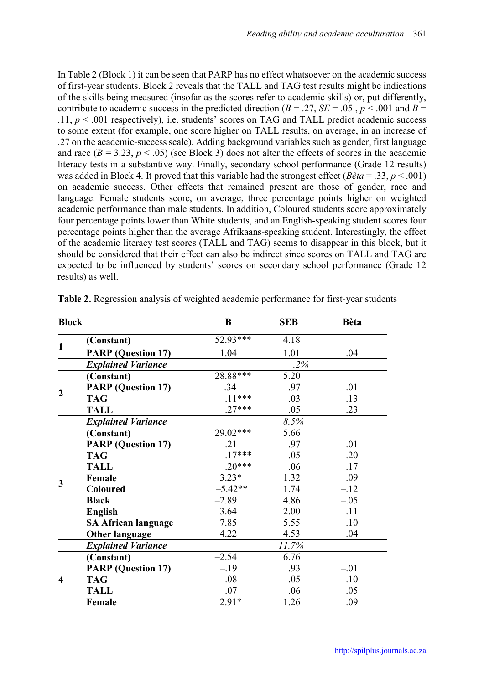In Table 2 (Block 1) it can be seen that PARP has no effect whatsoever on the academic success of first-year students. Block 2 reveals that the TALL and TAG test results might be indications of the skills being measured (insofar as the scores refer to academic skills) or, put differently, contribute to academic success in the predicted direction ( $B = .27$ ,  $SE = .05$ ,  $p < .001$  and  $B =$ .11,  $p < .001$  respectively), i.e. students' scores on TAG and TALL predict academic success to some extent (for example, one score higher on TALL results, on average, in an increase of .27 on the academic-success scale). Adding background variables such as gender, first language and race  $(B = 3.23, p < .05)$  (see Block 3) does not alter the effects of scores in the academic literacy tests in a substantive way. Finally, secondary school performance (Grade 12 results) was added in Block 4. It proved that this variable had the strongest effect (*Bèta* = .33, *p* < .001) on academic success. Other effects that remained present are those of gender, race and language. Female students score, on average, three percentage points higher on weighted academic performance than male students. In addition, Coloured students score approximately four percentage points lower than White students, and an English-speaking student scores four percentage points higher than the average Afrikaans-speaking student. Interestingly, the effect of the academic literacy test scores (TALL and TAG) seems to disappear in this block, but it should be considered that their effect can also be indirect since scores on TALL and TAG are expected to be influenced by students' scores on secondary school performance (Grade 12 results) as well.

| <b>Block</b>     |                            | B          | <b>SEB</b> | <b>Bèta</b> |
|------------------|----------------------------|------------|------------|-------------|
|                  | (Constant)                 | 52.93***   | 4.18       |             |
| $\mathbf{1}$     | <b>PARP</b> (Question 17)  | 1.04       | 1.01       | .04         |
|                  | <b>Explained Variance</b>  |            | .2%        |             |
|                  | (Constant)                 | 28.88***   | 5.20       |             |
| $\boldsymbol{2}$ | <b>PARP</b> (Question 17)  | .34        | .97        | .01         |
|                  | <b>TAG</b>                 | $.11***$   | .03        | .13         |
|                  | <b>TALL</b>                | $.27***$   | .05        | .23         |
|                  | <b>Explained Variance</b>  |            | 8.5%       |             |
|                  | (Constant)                 | $29.02***$ | 5.66       |             |
|                  | <b>PARP</b> (Question 17)  | $\cdot$ 21 | .97        | .01         |
|                  | <b>TAG</b>                 | $.17***$   | .05        | .20         |
|                  | <b>TALL</b>                | $.20***$   | .06        | .17         |
| 3                | Female                     | $3.23*$    | 1.32       | .09         |
|                  | Coloured                   | $-5.42**$  | 1.74       | $-.12$      |
|                  | <b>Black</b>               | $-2.89$    | 4.86       | $-.05$      |
|                  | <b>English</b>             | 3.64       | 2.00       | .11         |
|                  | <b>SA African language</b> | 7.85       | 5.55       | .10         |
|                  | <b>Other language</b>      | 4.22       | 4.53       | .04         |
|                  | <b>Explained Variance</b>  |            | 11.7%      |             |
| $\boldsymbol{4}$ | (Constant)                 | $-2.54$    | 6.76       |             |
|                  | <b>PARP</b> (Question 17)  | $-.19$     | .93        | $-.01$      |
|                  | <b>TAG</b>                 | .08        | .05        | .10         |
|                  | <b>TALL</b>                | .07        | .06        | .05         |
|                  | Female                     | $2.91*$    | 1.26       | .09         |

Table 2. Regression analysis of weighted academic performance for first-year students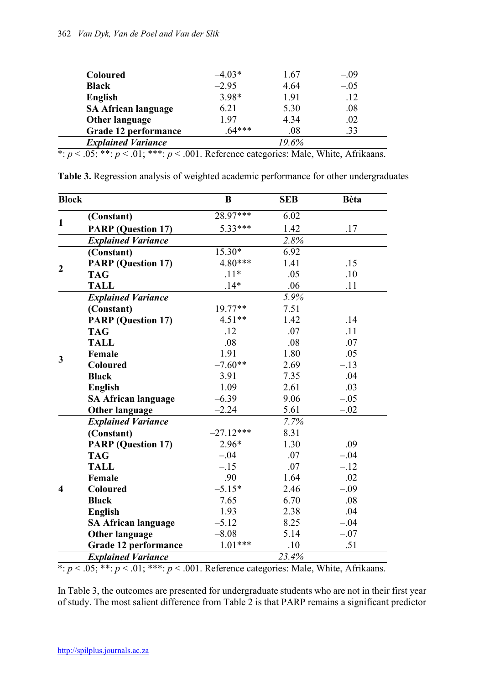| <b>Coloured</b>            | $-4.03*$ | 1.67  | $-.09$ |
|----------------------------|----------|-------|--------|
| <b>Black</b>               | $-2.95$  | 4.64  | $-.05$ |
| English                    | 3.98*    | 1.91  | .12    |
| <b>SA African language</b> | 6.21     | 5.30  | .08    |
| <b>Other language</b>      | 1.97     | 4.34  | .02    |
| Grade 12 performance       | $64***$  | .08   | .33    |
| <b>Explained Variance</b>  |          | 19.6% |        |

\*: *p* < .05; \*\*: *p* < .01; \*\*\*: *p* < .001. Reference categories: Male, White, Afrikaans.

| Table 3. Regression analysis of weighted academic performance for other undergraduates |  |  |  |  |
|----------------------------------------------------------------------------------------|--|--|--|--|
|----------------------------------------------------------------------------------------|--|--|--|--|

| <b>Block</b>            |                            | B           | <b>SEB</b> | <b>Bèta</b> |
|-------------------------|----------------------------|-------------|------------|-------------|
|                         | (Constant)                 | 28.97***    | 6.02       |             |
| 1                       | <b>PARP</b> (Question 17)  | 5.33***     | 1.42       | .17         |
|                         | <b>Explained Variance</b>  |             | 2.8%       |             |
|                         | (Constant)                 | $15.30*$    | 6.92       |             |
|                         | <b>PARP</b> (Question 17)  | 4.80***     | 1.41       | .15         |
| $\mathbf 2$             | <b>TAG</b>                 | $.11*$      | .05        | .10         |
|                         | <b>TALL</b>                | $.14*$      | .06        | .11         |
|                         | <b>Explained Variance</b>  |             | 5.9%       |             |
|                         | (Constant)                 | $19.77**$   | 7.51       |             |
|                         | <b>PARP</b> (Question 17)  | $4.51**$    | 1.42       | .14         |
|                         | <b>TAG</b>                 | .12         | .07        | .11         |
|                         | <b>TALL</b>                | .08         | .08        | .07         |
|                         | Female                     | 1.91        | 1.80       | .05         |
| 3                       | <b>Coloured</b>            | $-7.60**$   | 2.69       | $-.13$      |
|                         | <b>Black</b>               | 3.91        | 7.35       | .04         |
|                         | <b>English</b>             | 1.09        | 2.61       | .03         |
|                         | <b>SA African language</b> | $-6.39$     | 9.06       | $-.05$      |
|                         | <b>Other language</b>      | $-2.24$     | 5.61       | $-.02$      |
|                         | <b>Explained Variance</b>  |             | 7.7%       |             |
|                         | (Constant)                 | $-27.12***$ | 8.31       |             |
|                         | <b>PARP</b> (Question 17)  | $2.96*$     | 1.30       | .09         |
|                         | <b>TAG</b>                 | $-.04$      | .07        | $-.04$      |
|                         | <b>TALL</b>                | $-.15$      | .07        | $-.12$      |
|                         | Female                     | .90         | 1.64       | .02         |
| $\overline{\mathbf{4}}$ | <b>Coloured</b>            | $-5.15*$    | 2.46       | $-.09$      |
|                         | <b>Black</b>               | 7.65        | 6.70       | .08         |
|                         | <b>English</b>             | 1.93        | 2.38       | .04         |
|                         | <b>SA African language</b> | $-5.12$     | 8.25       | $-.04$      |
|                         | <b>Other language</b>      | $-8.08$     | 5.14       | $-.07$      |
|                         | Grade 12 performance       | $1.01***$   | .10        | .51         |
|                         | <b>Explained Variance</b>  |             | 23.4%      |             |

\*: *p* < .05; \*\*: *p* < .01; \*\*\*: *p* < .001. Reference categories: Male, White, Afrikaans.

In Table 3, the outcomes are presented for undergraduate students who are not in their first year of study. The most salient difference from Table 2 is that PARP remains a significant predictor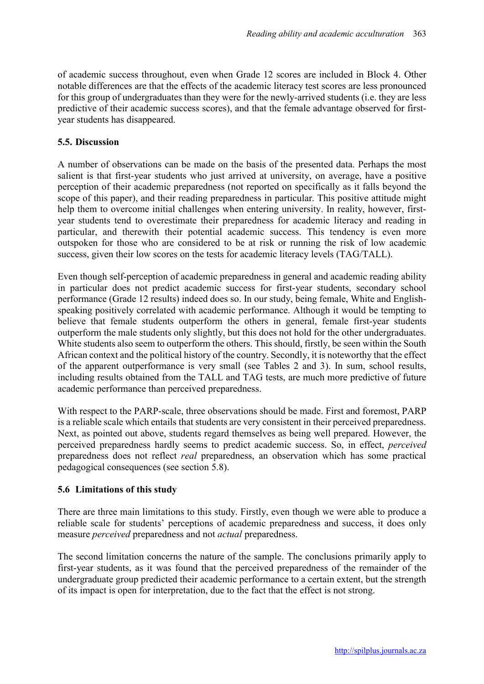of academic success throughout, even when Grade 12 scores are included in Block 4. Other notable differences are that the effects of the academic literacy test scores are less pronounced for this group of undergraduates than they were for the newly-arrived students (i.e. they are less predictive of their academic success scores), and that the female advantage observed for firstyear students has disappeared.

## 5.5. Discussion

A number of observations can be made on the basis of the presented data. Perhaps the most salient is that first-year students who just arrived at university, on average, have a positive perception of their academic preparedness (not reported on specifically as it falls beyond the scope of this paper), and their reading preparedness in particular. This positive attitude might help them to overcome initial challenges when entering university. In reality, however, firstyear students tend to overestimate their preparedness for academic literacy and reading in particular, and therewith their potential academic success. This tendency is even more outspoken for those who are considered to be at risk or running the risk of low academic success, given their low scores on the tests for academic literacy levels (TAG/TALL).

Even though self-perception of academic preparedness in general and academic reading ability in particular does not predict academic success for first-year students, secondary school performance (Grade 12 results) indeed does so. In our study, being female, White and Englishspeaking positively correlated with academic performance. Although it would be tempting to believe that female students outperform the others in general, female first-year students outperform the male students only slightly, but this does not hold for the other undergraduates. White students also seem to outperform the others. This should, firstly, be seen within the South African context and the political history of the country. Secondly, it is noteworthy that the effect of the apparent outperformance is very small (see Tables 2 and 3). In sum, school results, including results obtained from the TALL and TAG tests, are much more predictive of future academic performance than perceived preparedness.

With respect to the PARP-scale, three observations should be made. First and foremost, PARP is a reliable scale which entails that students are very consistent in their perceived preparedness. Next, as pointed out above, students regard themselves as being well prepared. However, the perceived preparedness hardly seems to predict academic success. So, in effect, *perceived* preparedness does not reflect *real* preparedness, an observation which has some practical pedagogical consequences (see section 5.8).

## 5.6 Limitations of this study

There are three main limitations to this study. Firstly, even though we were able to produce a reliable scale for students' perceptions of academic preparedness and success, it does only measure *perceived* preparedness and not *actual* preparedness.

The second limitation concerns the nature of the sample. The conclusions primarily apply to first-year students, as it was found that the perceived preparedness of the remainder of the undergraduate group predicted their academic performance to a certain extent, but the strength of its impact is open for interpretation, due to the fact that the effect is not strong.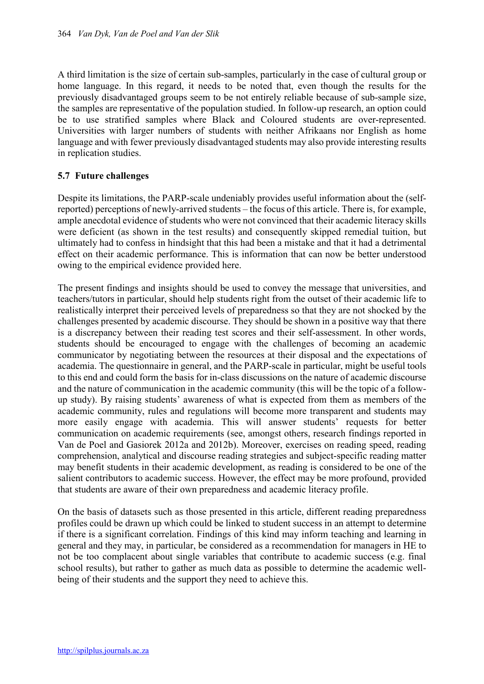A third limitation is the size of certain sub-samples, particularly in the case of cultural group or home language. In this regard, it needs to be noted that, even though the results for the previously disadvantaged groups seem to be not entirely reliable because of sub-sample size, the samples are representative of the population studied. In follow-up research, an option could be to use stratified samples where Black and Coloured students are over-represented. Universities with larger numbers of students with neither Afrikaans nor English as home language and with fewer previously disadvantaged students may also provide interesting results in replication studies.

## 5.7 Future challenges

Despite its limitations, the PARP-scale undeniably provides useful information about the (selfreported) perceptions of newly-arrived students – the focus of this article. There is, for example, ample anecdotal evidence of students who were not convinced that their academic literacy skills were deficient (as shown in the test results) and consequently skipped remedial tuition, but ultimately had to confess in hindsight that this had been a mistake and that it had a detrimental effect on their academic performance. This is information that can now be better understood owing to the empirical evidence provided here.

The present findings and insights should be used to convey the message that universities, and teachers/tutors in particular, should help students right from the outset of their academic life to realistically interpret their perceived levels of preparedness so that they are not shocked by the challenges presented by academic discourse. They should be shown in a positive way that there is a discrepancy between their reading test scores and their self-assessment. In other words, students should be encouraged to engage with the challenges of becoming an academic communicator by negotiating between the resources at their disposal and the expectations of academia. The questionnaire in general, and the PARP-scale in particular, might be useful tools to this end and could form the basis for in-class discussions on the nature of academic discourse and the nature of communication in the academic community (this will be the topic of a followup study). By raising students' awareness of what is expected from them as members of the academic community, rules and regulations will become more transparent and students may more easily engage with academia. This will answer students' requests for better communication on academic requirements (see, amongst others, research findings reported in Van de Poel and Gasiorek 2012a and 2012b). Moreover, exercises on reading speed, reading comprehension, analytical and discourse reading strategies and subject-specific reading matter may benefit students in their academic development, as reading is considered to be one of the salient contributors to academic success. However, the effect may be more profound, provided that students are aware of their own preparedness and academic literacy profile.

On the basis of datasets such as those presented in this article, different reading preparedness profiles could be drawn up which could be linked to student success in an attempt to determine if there is a significant correlation. Findings of this kind may inform teaching and learning in general and they may, in particular, be considered as a recommendation for managers in HE to not be too complacent about single variables that contribute to academic success (e.g. final school results), but rather to gather as much data as possible to determine the academic wellbeing of their students and the support they need to achieve this.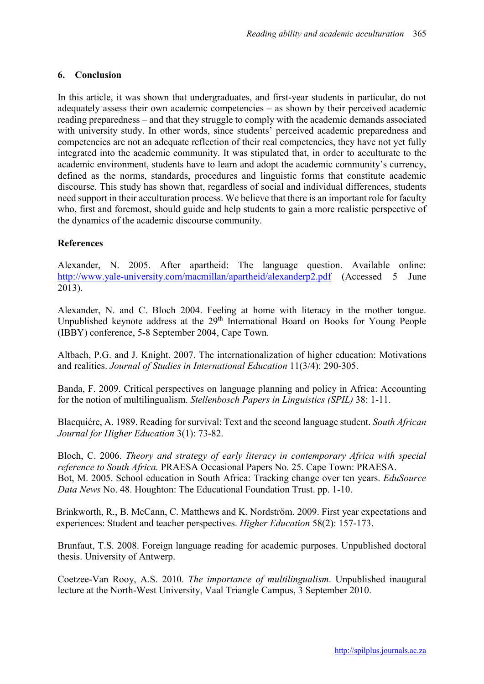#### 6. Conclusion

In this article, it was shown that undergraduates, and first-year students in particular, do not adequately assess their own academic competencies – as shown by their perceived academic reading preparedness – and that they struggle to comply with the academic demands associated with university study. In other words, since students' perceived academic preparedness and competencies are not an adequate reflection of their real competencies, they have not yet fully integrated into the academic community. It was stipulated that, in order to acculturate to the academic environment, students have to learn and adopt the academic community's currency, defined as the norms, standards, procedures and linguistic forms that constitute academic discourse. This study has shown that, regardless of social and individual differences, students need support in their acculturation process. We believe that there is an important role for faculty who, first and foremost, should guide and help students to gain a more realistic perspective of the dynamics of the academic discourse community.

#### References

Alexander, N. 2005. After apartheid: The language question. Available online: http://www.yale-university.com/macmillan/apartheid/alexanderp2.pdf (Accessed 5 June 2013).

Alexander, N. and C. Bloch 2004. Feeling at home with literacy in the mother tongue. Unpublished keynote address at the 29<sup>th</sup> International Board on Books for Young People (IBBY) conference, 5-8 September 2004, Cape Town.

Altbach, P.G. and J. Knight. 2007. The internationalization of higher education: Motivations and realities. *Journal of Studies in International Education* 11(3/4): 290-305.

Banda, F. 2009. Critical perspectives on language planning and policy in Africa: Accounting for the notion of multilingualism. *Stellenbosch Papers in Linguistics (SPIL)* 38: 1-11.

Blacquiére, A. 1989. Reading for survival: Text and the second language student. *South African Journal for Higher Education* 3(1): 73-82.

Bloch, C. 2006. *Theory and strategy of early literacy in contemporary Africa with special reference to South Africa.* PRAESA Occasional Papers No. 25. Cape Town: PRAESA. Bot, M. 2005. School education in South Africa: Tracking change over ten years. *EduSource Data News* No. 48. Houghton: The Educational Foundation Trust. pp. 1-10.

Brinkworth, R., B. McCann, C. Matthews and K. Nordström. 2009. First year expectations and experiences: Student and teacher perspectives. *Higher Education* 58(2): 157-173.

Brunfaut, T.S. 2008. Foreign language reading for academic purposes. Unpublished doctoral thesis. University of Antwerp.

Coetzee-Van Rooy, A.S. 2010. *The importance of multilingualism*. Unpublished inaugural lecture at the North-West University, Vaal Triangle Campus, 3 September 2010.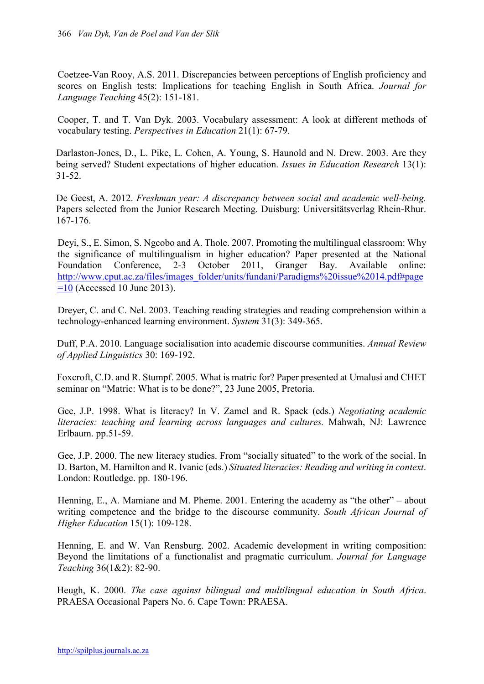Coetzee-Van Rooy, A.S. 2011. Discrepancies between perceptions of English proficiency and scores on English tests: Implications for teaching English in South Africa. *Journal for Language Teaching* 45(2): 151-181.

Cooper, T. and T. Van Dyk. 2003. Vocabulary assessment: A look at different methods of vocabulary testing. *Perspectives in Education* 21(1): 67-79.

Darlaston-Jones, D., L. Pike, L. Cohen, A. Young, S. Haunold and N. Drew. 2003. Are they being served? Student expectations of higher education. *Issues in Education Research* 13(1): 31-52.

De Geest, A. 2012. *Freshman year: A discrepancy between social and academic well-being.* Papers selected from the Junior Research Meeting. Duisburg: Universitätsverlag Rhein-Rhur. 167-176.

Deyi, S., E. Simon, S. Ngcobo and A. Thole. 2007. Promoting the multilingual classroom: Why the significance of multilingualism in higher education? Paper presented at the National Foundation Conference, 2-3 October 2011, Granger Bay. Available online: Foundation Conference, 2-3 October 2011, Granger Bay. Available online: http://www.cput.ac.za/files/images\_folder/units/fundani/Paradigms%20issue%2014.pdf#page  $=$ 10 (Accessed 10 June 2013).

Dreyer, C. and C. Nel. 2003. Teaching reading strategies and reading comprehension within a technology-enhanced learning environment. *System* 31(3): 349-365.

Duff, P.A. 2010. Language socialisation into academic discourse communities. *Annual Review of Applied Linguistics* 30: 169-192.

Foxcroft, C.D. and R. Stumpf. 2005. What is matric for? Paper presented at Umalusi and CHET seminar on "Matric: What is to be done?", 23 June 2005, Pretoria.

Gee, J.P. 1998. What is literacy? In V. Zamel and R. Spack (eds.) *Negotiating academic literacies: teaching and learning across languages and cultures.* Mahwah, NJ: Lawrence Erlbaum. pp.51-59.

Gee, J.P. 2000. The new literacy studies. From "socially situated" to the work of the social. In D. Barton, M. Hamilton and R. Ivanic (eds.) *Situated literacies: Reading and writing in context*. London: Routledge. pp. 180-196.

Henning, E., A. Mamiane and M. Pheme. 2001. Entering the academy as "the other" – about writing competence and the bridge to the discourse community. *South African Journal of Higher Education* 15(1): 109-128.

Henning, E. and W. Van Rensburg. 2002. Academic development in writing composition: Beyond the limitations of a functionalist and pragmatic curriculum. *Journal for Language Teaching* 36(1&2): 82-90.

Heugh, K. 2000. *The case against bilingual and multilingual education in South Africa*. PRAESA Occasional Papers No. 6. Cape Town: PRAESA.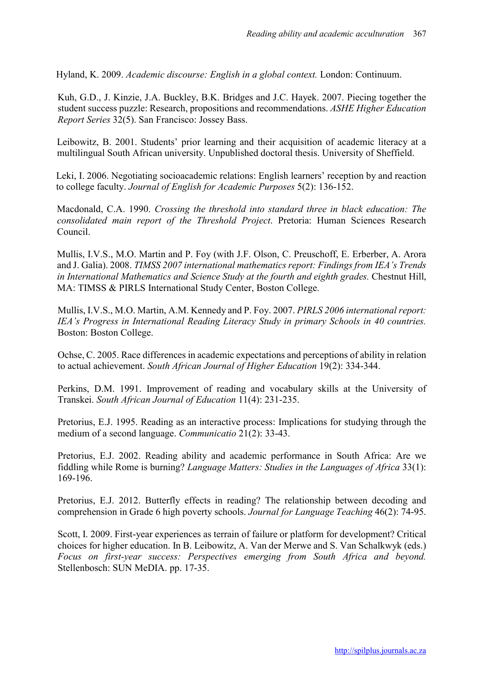Hyland, K. 2009. *Academic discourse: English in a global context.* London: Continuum.

Kuh, G.D., J. Kinzie, J.A. Buckley, B.K. Bridges and J.C. Hayek. 2007. Piecing together the student success puzzle: Research, propositions and recommendations. *ASHE Higher Education Report Series* 32(5). San Francisco: Jossey Bass.

Leibowitz, B. 2001. Students' prior learning and their acquisition of academic literacy at a multilingual South African university. Unpublished doctoral thesis. University of Sheffield.

Leki, I. 2006. Negotiating socioacademic relations: English learners' reception by and reaction to college faculty. *Journal of English for Academic Purposes* 5(2): 136-152.

Macdonald, C.A. 1990. *Crossing the threshold into standard three in black education: The consolidated main report of the Threshold Project*. Pretoria: Human Sciences Research Council.

Mullis, I.V.S., M.O. Martin and P. Foy (with J.F. Olson, C. Preuschoff, E. Erberber, A. Arora and J. Galia). 2008. *TIMSS 2007 international mathematics report: Findings from IEA's Trends in International Mathematics and Science Study at the fourth and eighth grades.* Chestnut Hill, MA: TIMSS & PIRLS International Study Center, Boston College.

Mullis, I.V.S., M.O. Martin, A.M. Kennedy and P. Foy. 2007. *PIRLS 2006 international report: IEA's Progress in International Reading Literacy Study in primary Schools in 40 countries.* Boston: Boston College.

Ochse, C. 2005. Race differences in academic expectations and perceptions of ability in relation to actual achievement. *South African Journal of Higher Education* 19(2): 334-344.

Perkins, D.M. 1991. Improvement of reading and vocabulary skills at the University of Transkei. *South African Journal of Education* 11(4): 231-235.

Pretorius, E.J. 1995. Reading as an interactive process: Implications for studying through the medium of a second language. *Communicatio* 21(2): 33-43.

Pretorius, E.J. 2002. Reading ability and academic performance in South Africa: Are we fiddling while Rome is burning? *Language Matters: Studies in the Languages of Africa* 33(1): 169-196.

Pretorius, E.J. 2012. Butterfly effects in reading? The relationship between decoding and comprehension in Grade 6 high poverty schools. *Journal for Language Teaching* 46(2): 74-95.

Scott, I. 2009. First-year experiences as terrain of failure or platform for development? Critical choices for higher education. In B. Leibowitz, A. Van der Merwe and S. Van Schalkwyk (eds.) *Focus on first-year success: Perspectives emerging from South Africa and beyond.* Stellenbosch: SUN MeDIA. pp. 17-35.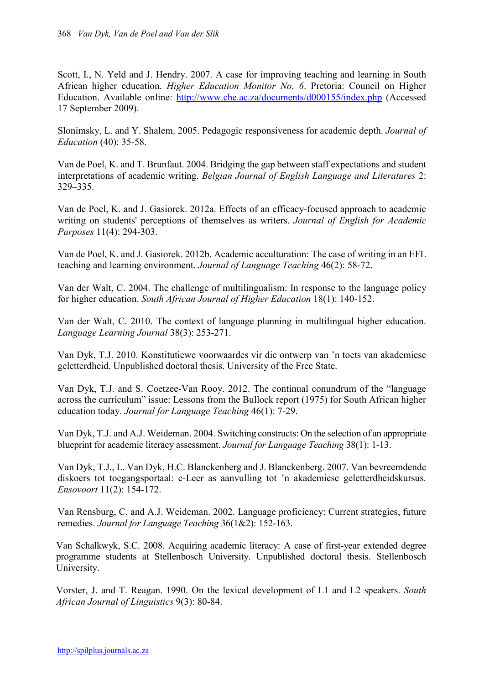Scott, I., N. Yeld and J. Hendry. 2007. A case for improving teaching and learning in South African higher education. *Higher Education Monitor No. 6*. Pretoria: Council on Higher Education. Available online: http://www.che.ac.za/documents/d000155/index.php (Accessed 17 September 2009).

Slonimsky, L. and Y. Shalem. 2005. Pedagogic responsiveness for academic depth. *Journal of Education* (40): 35-58.

Van de Poel, K. and T. Brunfaut. 2004. Bridging the gap between staff expectations and student interpretations of academic writing. *Belgian Journal of English Language and Literatures* 2: 329–335.

Van de Poel, K. and J. Gasiorek. 2012a. Effects of an efficacy-focused approach to academic writing on students' perceptions of themselves as writers. *Journal of English for Academic Purposes* 11(4): 294-303.

Van de Poel, K. and J. Gasiorek. 2012b. Academic acculturation: The case of writing in an EFL teaching and learning environment. *Journal of Language Teaching* 46(2): 58-72.

Van der Walt, C. 2004. The challenge of multilingualism: In response to the language policy for higher education. *South African Journal of Higher Education* 18(1): 140-152.

Van der Walt, C. 2010. The context of language planning in multilingual higher education. *Language Learning Journal* 38(3): 253-271.

Van Dyk, T.J. 2010. Konstitutiewe voorwaardes vir die ontwerp van 'n toets van akademiese geletterdheid. Unpublished doctoral thesis. University of the Free State.

Van Dyk, T.J. and S. Coetzee-Van Rooy. 2012. The continual conundrum of the "language across the curriculum" issue: Lessons from the Bullock report (1975) for South African higher education today. *Journal for Language Teaching* 46(1): 7-29.

Van Dyk, T.J. and A.J. Weideman. 2004. Switching constructs: On the selection of an appropriate blueprint for academic literacy assessment. *Journal for Language Teaching* 38(1): 1-13.

Van Dyk, T.J., L. Van Dyk, H.C. Blanckenberg and J. Blanckenberg. 2007. Van bevreemdende diskoers tot toegangsportaal: e-Leer as aanvulling tot 'n akademiese geletterdheidskursus. *Ensovoort* 11(2): 154-172.

Van Rensburg, C. and A.J. Weideman. 2002. Language proficiency: Current strategies, future remedies. *Journal for Language Teaching* 36(1&2): 152-163.

Van Schalkwyk, S.C. 2008. Acquiring academic literacy: A case of first-year extended degree programme students at Stellenbosch University. Unpublished doctoral thesis. Stellenbosch University.

Vorster, J. and T. Reagan. 1990. On the lexical development of L1 and L2 speakers. *South African Journal of Linguistics* 9(3): 80-84.